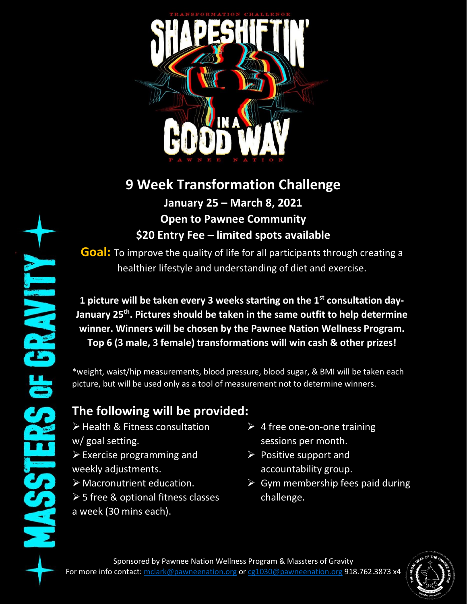

## **9 Week Transformation Challenge January 25 – March 8, 2021 Open to Pawnee Community**

**\$20 Entry Fee – limited spots available**

**Goal:** To improve the quality of life for all participants through creating a healthier lifestyle and understanding of diet and exercise.

**1 picture will be taken every 3 weeks starting on the 1st consultation day-January 25th. Pictures should be taken in the same outfit to help determine winner. Winners will be chosen by the Pawnee Nation Wellness Program. Top 6 (3 male, 3 female) transformations will win cash & other prizes!**

\*weight, waist/hip measurements, blood pressure, blood sugar, & BMI will be taken each picture, but will be used only as a tool of measurement not to determine winners.

## **The following will be provided:**

➢ Health & Fitness consultation w/ goal setting. ➢ Exercise programming and weekly adjustments.

- ➢ Macronutrient education.
- ➢ 5 free & optional fitness classes a week (30 mins each).
- $\triangleright$  4 free one-on-one training sessions per month.
- $\triangleright$  Positive support and accountability group.
- $\triangleright$  Gym membership fees paid during challenge.